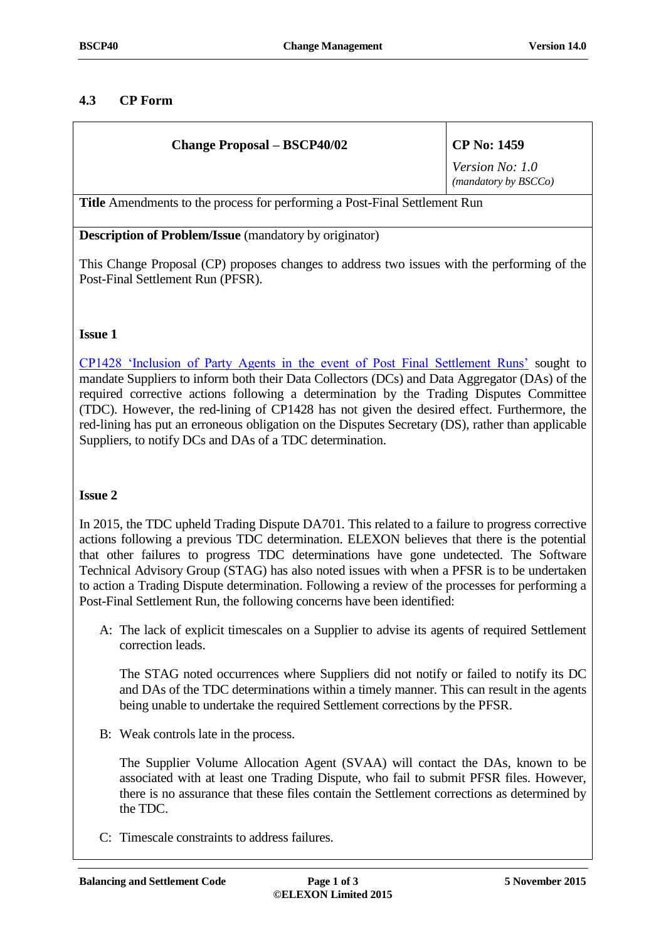# **4.3 CP Form**

| <b>Change Proposal – BSCP40/02</b>                                                | <b>CP No: 1459</b>                      |
|-----------------------------------------------------------------------------------|-----------------------------------------|
|                                                                                   | Version No: 1.0<br>(mandatory by BSCCo) |
| <b>Title</b> Amendments to the process for performing a Post-Final Settlement Run |                                         |
| $\cdot$ .<br>$\mathbf{r}$<br>$\mathbf{r}$ $\mathbf{r}$                            |                                         |

**Description of Problem/Issue** (mandatory by originator)

This Change Proposal (CP) proposes changes to address two issues with the performing of the Post-Final Settlement Run (PFSR).

## **Issue 1**

[CP1428 'Inclusion of Party Agents in the event of Post Final Settlement Runs'](https://www.elexon.co.uk/change-proposal/cp1428/) sought to mandate Suppliers to inform both their Data Collectors (DCs) and Data Aggregator (DAs) of the required corrective actions following a determination by the Trading Disputes Committee (TDC). However, the red-lining of CP1428 has not given the desired effect. Furthermore, the red-lining has put an erroneous obligation on the Disputes Secretary (DS), rather than applicable Suppliers, to notify DCs and DAs of a TDC determination.

## **Issue 2**

In 2015, the TDC upheld Trading Dispute DA701. This related to a failure to progress corrective actions following a previous TDC determination. ELEXON believes that there is the potential that other failures to progress TDC determinations have gone undetected. The Software Technical Advisory Group (STAG) has also noted issues with when a PFSR is to be undertaken to action a Trading Dispute determination. Following a review of the processes for performing a Post-Final Settlement Run, the following concerns have been identified:

A: The lack of explicit timescales on a Supplier to advise its agents of required Settlement correction leads.

The STAG noted occurrences where Suppliers did not notify or failed to notify its DC and DAs of the TDC determinations within a timely manner. This can result in the agents being unable to undertake the required Settlement corrections by the PFSR.

B: Weak controls late in the process.

The Supplier Volume Allocation Agent (SVAA) will contact the DAs, known to be associated with at least one Trading Dispute, who fail to submit PFSR files. However, there is no assurance that these files contain the Settlement corrections as determined by the TDC.

C: Timescale constraints to address failures.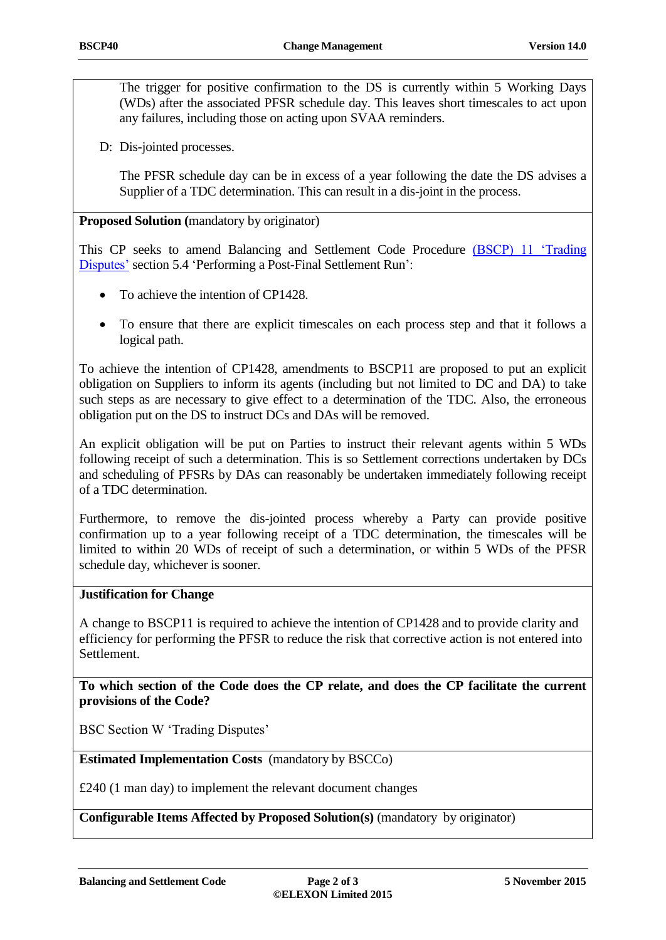The trigger for positive confirmation to the DS is currently within 5 Working Days (WDs) after the associated PFSR schedule day. This leaves short timescales to act upon any failures, including those on acting upon SVAA reminders.

D: Dis-jointed processes.

The PFSR schedule day can be in excess of a year following the date the DS advises a Supplier of a TDC determination. This can result in a dis-joint in the process.

**Proposed Solution (**mandatory by originator)

This CP seeks to amend Balancing and Settlement Code Procedure [\(BSCP\) 11 'Trading](https://www.elexon.co.uk/bsc-related-documents/related-documents/bscps/)  [Disputes'](https://www.elexon.co.uk/bsc-related-documents/related-documents/bscps/) section 5.4 'Performing a Post-Final Settlement Run':

- To achieve the intention of CP1428.
- To ensure that there are explicit timescales on each process step and that it follows a logical path.

To achieve the intention of CP1428, amendments to BSCP11 are proposed to put an explicit obligation on Suppliers to inform its agents (including but not limited to DC and DA) to take such steps as are necessary to give effect to a determination of the TDC. Also, the erroneous obligation put on the DS to instruct DCs and DAs will be removed.

An explicit obligation will be put on Parties to instruct their relevant agents within 5 WDs following receipt of such a determination. This is so Settlement corrections undertaken by DCs and scheduling of PFSRs by DAs can reasonably be undertaken immediately following receipt of a TDC determination.

Furthermore, to remove the dis-jointed process whereby a Party can provide positive confirmation up to a year following receipt of a TDC determination, the timescales will be limited to within 20 WDs of receipt of such a determination, or within 5 WDs of the PFSR schedule day, whichever is sooner.

## **Justification for Change**

A change to BSCP11 is required to achieve the intention of CP1428 and to provide clarity and efficiency for performing the PFSR to reduce the risk that corrective action is not entered into Settlement.

**To which section of the Code does the CP relate, and does the CP facilitate the current provisions of the Code?**

BSC Section W 'Trading Disputes'

**Estimated Implementation Costs** (mandatory by BSCCo)

£240 (1 man day) to implement the relevant document changes

**Configurable Items Affected by Proposed Solution(s)** (mandatory by originator)